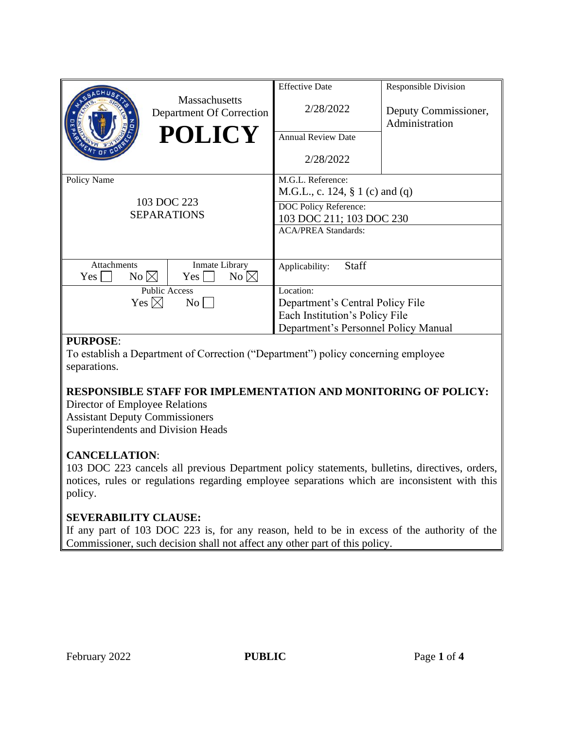|                                                  | <b>Massachusetts</b><br>Department Of Correction<br><b>POLICY</b> | <b>Effective Date</b><br>2/28/2022<br>Annual Review Date<br>2/28/2022                                                                   | Responsible Division<br>Deputy Commissioner,<br>Administration |
|--------------------------------------------------|-------------------------------------------------------------------|-----------------------------------------------------------------------------------------------------------------------------------------|----------------------------------------------------------------|
| Policy Name<br>103 DOC 223<br><b>SEPARATIONS</b> |                                                                   | M.G.L. Reference:<br>M.G.L., c. 124, § 1 (c) and (q)<br>DOC Policy Reference:<br>103 DOC 211; 103 DOC 230<br><b>ACA/PREA Standards:</b> |                                                                |
| <b>Attachments</b><br>No $\boxtimes$<br>Yes      | Inmate Library<br>No $\boxtimes$<br>$Yes \mid \mid$               | <b>Staff</b><br>Applicability:                                                                                                          |                                                                |
| <b>Public Access</b>                             |                                                                   | Location:                                                                                                                               |                                                                |
| Yes $\boxtimes$<br>$\rm{No}$                     |                                                                   | Department's Central Policy File                                                                                                        |                                                                |
|                                                  |                                                                   | Each Institution's Policy File                                                                                                          |                                                                |
|                                                  |                                                                   | Department's Personnel Policy Manual                                                                                                    |                                                                |

## **PURPOSE**:

To establish a Department of Correction ("Department") policy concerning employee separations.

# **RESPONSIBLE STAFF FOR IMPLEMENTATION AND MONITORING OF POLICY:**

Director of Employee Relations Assistant Deputy Commissioners Superintendents and Division Heads

## **CANCELLATION**:

103 DOC 223 cancels all previous Department policy statements, bulletins, directives, orders, notices, rules or regulations regarding employee separations which are inconsistent with this policy.

## **SEVERABILITY CLAUSE:**

If any part of 103 DOC 223 is, for any reason, held to be in excess of the authority of the Commissioner, such decision shall not affect any other part of this policy.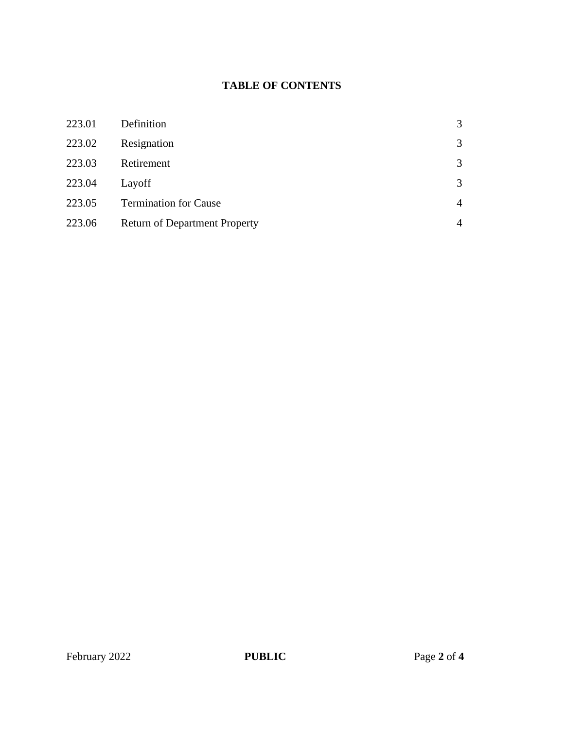## **TABLE OF CONTENTS**

| 223.01 | Definition                           | 3              |
|--------|--------------------------------------|----------------|
| 223.02 | Resignation                          | 3              |
| 223.03 | Retirement                           | 3              |
| 223.04 | Layoff                               | 3              |
| 223.05 | <b>Termination for Cause</b>         | $\overline{4}$ |
| 223.06 | <b>Return of Department Property</b> | $\overline{4}$ |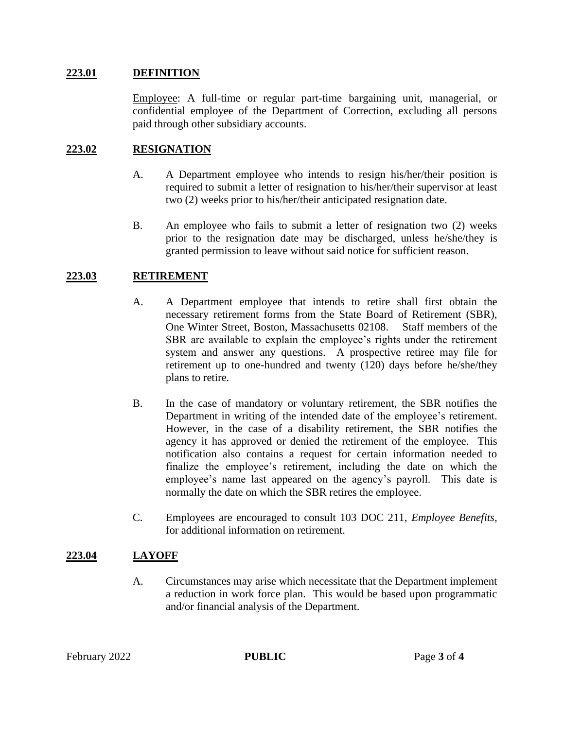#### **223.01 DEFINITION**

Employee: A full-time or regular part-time bargaining unit, managerial, or confidential employee of the Department of Correction, excluding all persons paid through other subsidiary accounts.

#### **223.02 RESIGNATION**

- A. A Department employee who intends to resign his/her/their position is required to submit a letter of resignation to his/her/their supervisor at least two (2) weeks prior to his/her/their anticipated resignation date.
- B. An employee who fails to submit a letter of resignation two (2) weeks prior to the resignation date may be discharged, unless he/she/they is granted permission to leave without said notice for sufficient reason.

#### **223.03 RETIREMENT**

- A. A Department employee that intends to retire shall first obtain the necessary retirement forms from the State Board of Retirement (SBR), One Winter Street, Boston, Massachusetts 02108. Staff members of the SBR are available to explain the employee's rights under the retirement system and answer any questions. A prospective retiree may file for retirement up to one-hundred and twenty (120) days before he/she/they plans to retire.
- B. In the case of mandatory or voluntary retirement, the SBR notifies the Department in writing of the intended date of the employee's retirement. However, in the case of a disability retirement, the SBR notifies the agency it has approved or denied the retirement of the employee. This notification also contains a request for certain information needed to finalize the employee's retirement, including the date on which the employee's name last appeared on the agency's payroll. This date is normally the date on which the SBR retires the employee.
- C. Employees are encouraged to consult 103 DOC 211, *Employee Benefits*, for additional information on retirement.

#### **223.04 LAYOFF**

A. Circumstances may arise which necessitate that the Department implement a reduction in work force plan. This would be based upon programmatic and/or financial analysis of the Department.